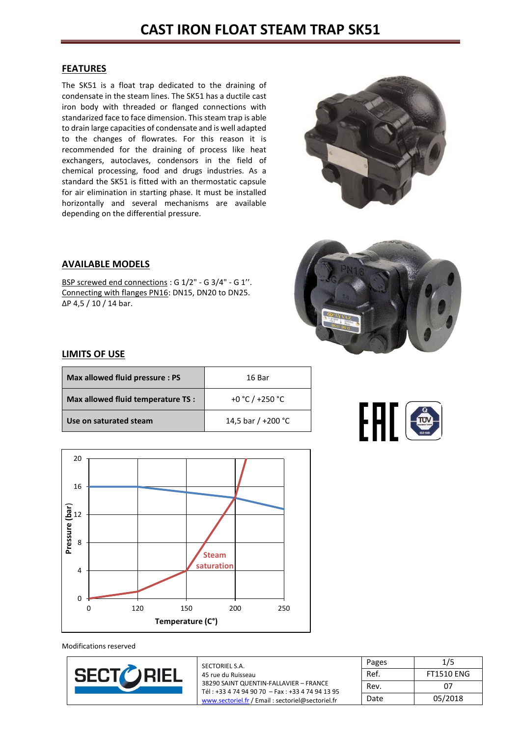# **CAST IRON FLOAT STEAM TRAP SK51**

#### **FEATURES**

The SK51 is a float trap dedicated to the draining of condensate in the steam lines. The SK51 has a ductile cast iron body with threaded or flanged connections with standarized face to face dimension. This steam trap is able to drain large capacities of condensate and is well adapted to the changes of flowrates. For this reason it is recommended for the draining of process like heat exchangers, autoclaves, condensors in the field of chemical processing, food and drugs industries. As a standard the SK51 is fitted with an thermostatic capsule for air elimination in starting phase. It must be installed horizontally and several mechanisms are available depending on the differential pressure.



## **AVAILABLE MODELS**

BSP screwed end connections : G 1/2" - G 3/4" - G 1". Connecting with flanges PN16: DN15, DN20 to DN25. ∆P 4,5 / 10 / 14 bar.



#### **LIMITS OF USE**

| Max allowed fluid pressure : PS    | 16 Bar                       |
|------------------------------------|------------------------------|
| Max allowed fluid temperature TS : | +0 °C / +250 °C              |
| Use on saturated steam             | 14,5 bar / +200 $^{\circ}$ C |







| SECTORIEL S.A.                                   | rages |
|--------------------------------------------------|-------|
| 45 rue du Ruisseau                               | Ref.  |
| 38290 SAINT QUENTIN-FALLAVIER - FRANCE           | Rev.  |
| Tél: +33 4 74 94 90 70 - Fax: +33 4 74 94 13 95  |       |
| www.sectoriel.fr / Email: sectoriel@sectoriel.fr | Date  |

|      | Pages | 1/5               |
|------|-------|-------------------|
| Ref. |       | <b>FT1510 ENG</b> |
| Rev. |       | 07                |
| Date |       | 05/2018           |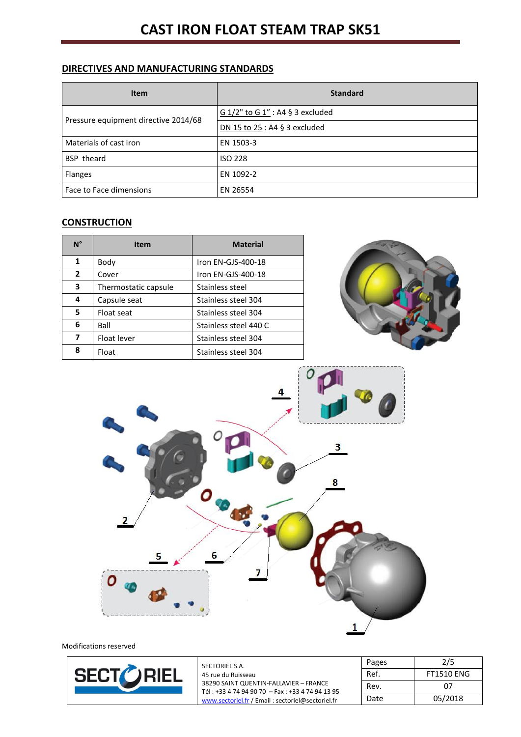## **DIRECTIVES AND MANUFACTURING STANDARDS**

| <b>Item</b>                          | <b>Standard</b>                  |
|--------------------------------------|----------------------------------|
| Pressure equipment directive 2014/68 | G 1/2" to G 1" : A4 § 3 excluded |
|                                      | DN 15 to 25 : A4 § 3 excluded    |
| Materials of cast iron               | EN 1503-3                        |
| <b>BSP</b> theard                    | <b>ISO 228</b>                   |
| Flanges                              | EN 1092-2                        |
| Face to Face dimensions              | EN 26554                         |

## **CONSTRUCTION**

| $N^{\circ}$    | <b>Item</b>          | <b>Material</b>       |
|----------------|----------------------|-----------------------|
| 1              | Body                 | Iron EN-GJS-400-18    |
| $\overline{2}$ | Cover                | Iron EN-GJS-400-18    |
| 3              | Thermostatic capsule | Stainless steel       |
| 4              | Capsule seat         | Stainless steel 304   |
| 5              | Float seat           | Stainless steel 304   |
| 6              | Ball                 | Stainless steel 440 C |
| 7              | Float lever          | Stainless steel 304   |
| 8              | Float                | Stainless steel 304   |





|                  | SECTORIEL S.A.                                                                            | Pages | 2/5               |
|------------------|-------------------------------------------------------------------------------------------|-------|-------------------|
| <b>SECTORIEL</b> | 45 rue du Ruisseau                                                                        | Ref.  | <b>FT1510 ENG</b> |
|                  | 38290 SAINT QUENTIN-FALLAVIER - FRANCE<br>Tél: +33 4 74 94 90 70 - Fax: +33 4 74 94 13 95 | Rev.  | 07                |
|                  | www.sectoriel.fr / Email : sectoriel@sectoriel.fr                                         | Date  | 05/2018           |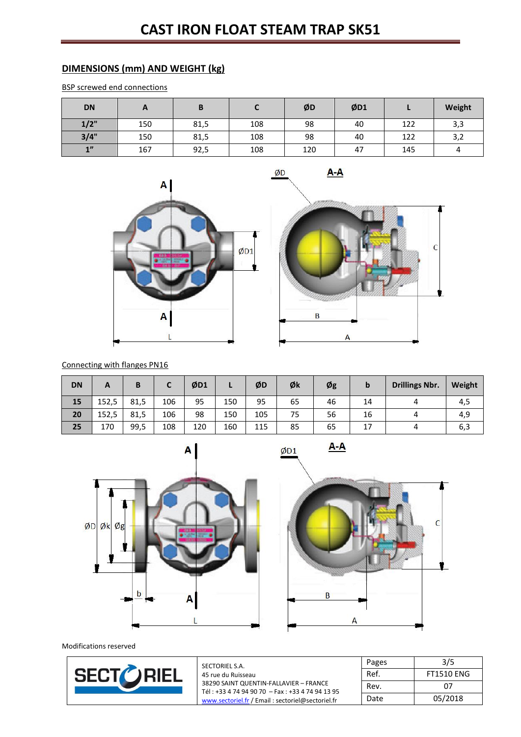## **DIMENSIONS (mm) AND WEIGHT (kg)**

BSP screwed end connections

| <b>DN</b> | r   | В    |     | ØD  | ØD1 |     | Weight |
|-----------|-----|------|-----|-----|-----|-----|--------|
| 1/2"      | 150 | 81,5 | 108 | 98  | 40  | 122 | 3,3    |
| 3/4"      | 150 | 81,5 | 108 | 98  | 40  | 122 | 3,2    |
| 1         | 167 | 92,5 | 108 | 120 | 47  | 145 | 4      |

ØD



 $A-A$ 



Connecting with flanges PN16

| <b>DN</b> | А     | В    |     | ØD1 |     | ØD  | Øk | Øg | b  | <b>Drillings Nbr.</b> | Weight |
|-----------|-------|------|-----|-----|-----|-----|----|----|----|-----------------------|--------|
| 15        | 152,5 | 81,5 | 106 | 95  | 150 | 95  | 65 | 46 | 14 |                       | 4,5    |
| 20        | 152,5 | 81,5 | 106 | 98  | 150 | 105 | 75 | 56 | 16 |                       | 4,9    |
| 25        | 170   | 99,5 | 108 | 120 | 160 | 115 | 85 | 65 | 17 |                       | ხ,≾    |

 $ØD1$ 



 $A - A$ 



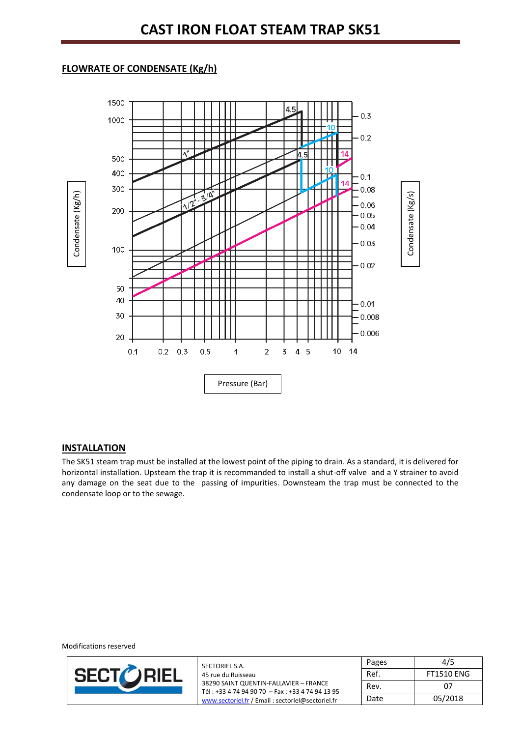## **FLOWRATE OF CONDENSATE (Kg/h)**



#### **INSTALLATION**

The SK51 steam trap must be installed at the lowest point of the piping to drain. As a standard, it is delivered for horizontal installation. Upsteam the trap it is recommanded to install a shut-off valve and a Y strainer to avoid any damage on the seat due to the passing of impurities. Downsteam the trap must be connected to the condensate loop or to the sewage.



| SECTORIEL S.A.                                                                            | Pages | 4/5               |
|-------------------------------------------------------------------------------------------|-------|-------------------|
| 45 rue du Ruisseau                                                                        | Ref.  | <b>FT1510 ENG</b> |
| 38290 SAINT QUENTIN-FALLAVIER - FRANCE<br>Tél: +33 4 74 94 90 70 - Fax: +33 4 74 94 13 95 | Rev.  | 07                |
| www.sectoriel.fr / Email: sectoriel@sectoriel.fr                                          | Date  | 05/2018           |